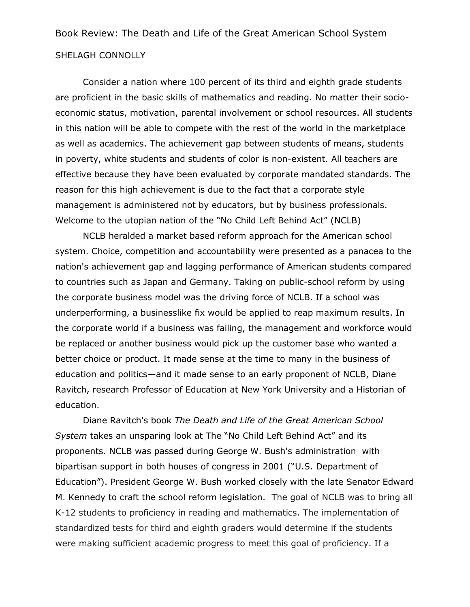## Book Review: The Death and Life of the Great American School System SHELAGH CONNOLLY

Consider a nation where 100 percent of its third and eighth grade students are proficient in the basic skills of mathematics and reading. No matter their socioeconomic status, motivation, parental involvement or school resources. All students in this nation will be able to compete with the rest of the world in the marketplace as well as academics. The achievement gap between students of means, students in poverty, white students and students of color is non-existent. All teachers are effective because they have been evaluated by corporate mandated standards. The reason for this high achievement is due to the fact that a corporate style management is administered not by educators, but by business professionals. Welcome to the utopian nation of the "No Child Left Behind Act" (NCLB)

NCLB heralded a market based reform approach for the American school system. Choice, competition and accountability were presented as a panacea to the nation's achievement gap and lagging performance of American students compared to countries such as Japan and Germany. Taking on public-school reform by using the corporate business model was the driving force of NCLB. If a school was underperforming, a businesslike fix would be applied to reap maximum results. In the corporate world if a business was failing, the management and workforce would be replaced or another business would pick up the customer base who wanted a better choice or product. It made sense at the time to many in the business of education and politics—and it made sense to an early proponent of NCLB, Diane Ravitch, research Professor of Education at New York University and a Historian of education.

Diane Ravitch's book *The Death and Life of the Great American School System* takes an unsparing look at The "No Child Left Behind Act" and its proponents. NCLB was passed during George W. Bush's administration with bipartisan support in both houses of congress in 2001 ("U.S. Department of Education"). President George W. Bush worked closely with the late Senator Edward M. Kennedy to craft the school reform legislation. The goal of NCLB was to bring all K-12 students to proficiency in reading and mathematics. The implementation of standardized tests for third and eighth graders would determine if the students were making sufficient academic progress to meet this goal of proficiency. If a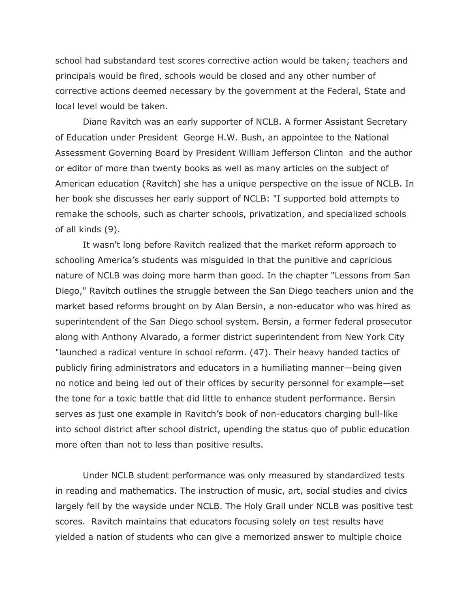school had substandard test scores corrective action would be taken; teachers and principals would be fired, schools would be closed and any other number of corrective actions deemed necessary by the government at the Federal, State and local level would be taken.

Diane Ravitch was an early supporter of NCLB. A former Assistant Secretary of Education under President George H.W. Bush, an appointee to the National Assessment Governing Board by President William Jefferson Clinton and the author or editor of more than twenty books as well as many articles on the subject of American education (Ravitch) she has a unique perspective on the issue of NCLB. In her book she discusses her early support of NCLB: "I supported bold attempts to remake the schools, such as charter schools, privatization, and specialized schools of all kinds (9).

It wasn't long before Ravitch realized that the market reform approach to schooling America's students was misguided in that the punitive and capricious nature of NCLB was doing more harm than good. In the chapter "Lessons from San Diego," Ravitch outlines the struggle between the San Diego teachers union and the market based reforms brought on by Alan Bersin, a non-educator who was hired as superintendent of the San Diego school system. Bersin, a former federal prosecutor along with Anthony Alvarado, a former district superintendent from New York City "launched a radical venture in school reform. (47). Their heavy handed tactics of publicly firing administrators and educators in a humiliating manner—being given no notice and being led out of their offices by security personnel for example—set the tone for a toxic battle that did little to enhance student performance. Bersin serves as just one example in Ravitch's book of non-educators charging bull-like into school district after school district, upending the status quo of public education more often than not to less than positive results.

Under NCLB student performance was only measured by standardized tests in reading and mathematics. The instruction of music, art, social studies and civics largely fell by the wayside under NCLB. The Holy Grail under NCLB was positive test scores. Ravitch maintains that educators focusing solely on test results have yielded a nation of students who can give a memorized answer to multiple choice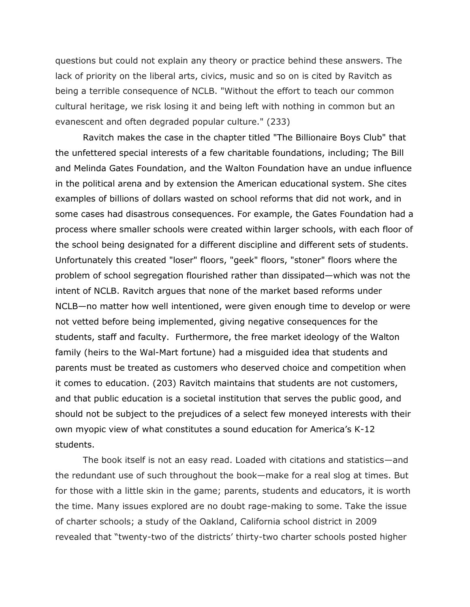questions but could not explain any theory or practice behind these answers. The lack of priority on the liberal arts, civics, music and so on is cited by Ravitch as being a terrible consequence of NCLB. "Without the effort to teach our common cultural heritage, we risk losing it and being left with nothing in common but an evanescent and often degraded popular culture." (233)

Ravitch makes the case in the chapter titled "The Billionaire Boys Club" that the unfettered special interests of a few charitable foundations, including; The Bill and Melinda Gates Foundation, and the Walton Foundation have an undue influence in the political arena and by extension the American educational system. She cites examples of billions of dollars wasted on school reforms that did not work, and in some cases had disastrous consequences. For example, the Gates Foundation had a process where smaller schools were created within larger schools, with each floor of the school being designated for a different discipline and different sets of students. Unfortunately this created "loser" floors, "geek" floors, "stoner" floors where the problem of school segregation flourished rather than dissipated—which was not the intent of NCLB. Ravitch argues that none of the market based reforms under NCLB—no matter how well intentioned, were given enough time to develop or were not vetted before being implemented, giving negative consequences for the students, staff and faculty. Furthermore, the free market ideology of the Walton family (heirs to the Wal-Mart fortune) had a misguided idea that students and parents must be treated as customers who deserved choice and competition when it comes to education. (203) Ravitch maintains that students are not customers, and that public education is a societal institution that serves the public good, and should not be subject to the prejudices of a select few moneyed interests with their own myopic view of what constitutes a sound education for America's K-12 students.

The book itself is not an easy read. Loaded with citations and statistics—and the redundant use of such throughout the book—make for a real slog at times. But for those with a little skin in the game; parents, students and educators, it is worth the time. Many issues explored are no doubt rage-making to some. Take the issue of charter schools; a study of the Oakland, California school district in 2009 revealed that "twenty-two of the districts' thirty-two charter schools posted higher